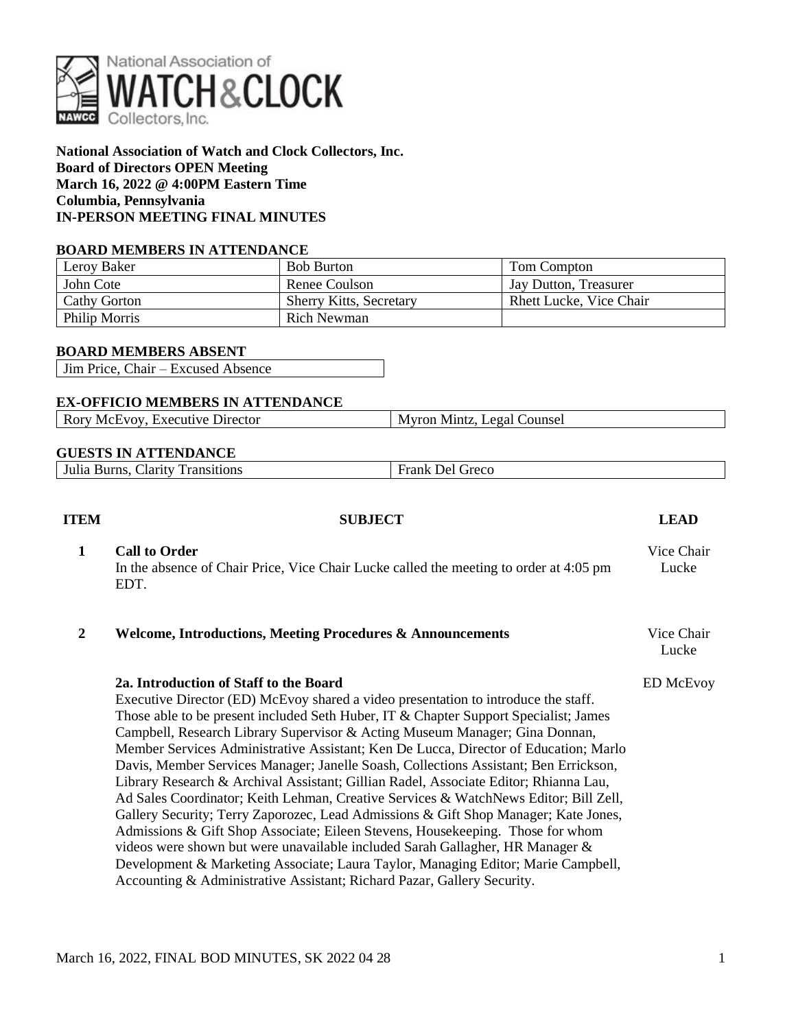

**National Association of Watch and Clock Collectors, Inc. Board of Directors OPEN Meeting March 16, 2022 @ 4:00PM Eastern Time Columbia, Pennsylvania IN-PERSON MEETING FINAL MINUTES**

## **BOARD MEMBERS IN ATTENDANCE**

| Leroy Baker         | <b>Bob Burton</b>              | Tom Compton                    |
|---------------------|--------------------------------|--------------------------------|
| John Cote           | Renee Coulson                  | Jay Dutton, Treasurer          |
| <b>Cathy Gorton</b> | <b>Sherry Kitts, Secretary</b> | <b>Rhett Lucke, Vice Chair</b> |
| Philip Morris       | Rich Newman                    |                                |

### **BOARD MEMBERS ABSENT**

Jim Price, Chair – Excused Absence

### **EX-OFFICIO MEMBERS IN ATTENDANCE**

|  | Rory McEvoy, Executive Director | Myron Mintz, Legal Counsel |
|--|---------------------------------|----------------------------|
|--|---------------------------------|----------------------------|

## **GUESTS IN ATTENDANCE**

| Jarity.<br>Juli:<br>- Burns<br>ച∞റ∞ ⊵<br>ransitions<br>Greco<br>Je L<br>. alik "<br>____ |
|------------------------------------------------------------------------------------------|
|------------------------------------------------------------------------------------------|

| <b>ITEM</b>  | <b>SUBJECT</b>                                                                                                                                                                                                                                                                                                                                                                                                                                                                                                                                                                                                                                                                                                                                                                                                                                                                                                                                                                                                                                                                                | <b>LEAD</b>         |
|--------------|-----------------------------------------------------------------------------------------------------------------------------------------------------------------------------------------------------------------------------------------------------------------------------------------------------------------------------------------------------------------------------------------------------------------------------------------------------------------------------------------------------------------------------------------------------------------------------------------------------------------------------------------------------------------------------------------------------------------------------------------------------------------------------------------------------------------------------------------------------------------------------------------------------------------------------------------------------------------------------------------------------------------------------------------------------------------------------------------------|---------------------|
| $\mathbf{1}$ | <b>Call to Order</b><br>In the absence of Chair Price, Vice Chair Lucke called the meeting to order at 4:05 pm<br>EDT.                                                                                                                                                                                                                                                                                                                                                                                                                                                                                                                                                                                                                                                                                                                                                                                                                                                                                                                                                                        | Vice Chair<br>Lucke |
| $\mathbf{2}$ | <b>Welcome, Introductions, Meeting Procedures &amp; Announcements</b>                                                                                                                                                                                                                                                                                                                                                                                                                                                                                                                                                                                                                                                                                                                                                                                                                                                                                                                                                                                                                         | Vice Chair<br>Lucke |
|              | 2a. Introduction of Staff to the Board<br>Executive Director (ED) McEvoy shared a video presentation to introduce the staff.<br>Those able to be present included Seth Huber, IT & Chapter Support Specialist; James<br>Campbell, Research Library Supervisor & Acting Museum Manager; Gina Donnan,<br>Member Services Administrative Assistant; Ken De Lucca, Director of Education; Marlo<br>Davis, Member Services Manager; Janelle Soash, Collections Assistant; Ben Errickson,<br>Library Research & Archival Assistant; Gillian Radel, Associate Editor; Rhianna Lau,<br>Ad Sales Coordinator; Keith Lehman, Creative Services & WatchNews Editor; Bill Zell,<br>Gallery Security; Terry Zaporozec, Lead Admissions & Gift Shop Manager; Kate Jones,<br>Admissions & Gift Shop Associate; Eileen Stevens, Housekeeping. Those for whom<br>videos were shown but were unavailable included Sarah Gallagher, HR Manager &<br>Development & Marketing Associate; Laura Taylor, Managing Editor; Marie Campbell,<br>Accounting & Administrative Assistant; Richard Pazar, Gallery Security. | <b>ED McEvoy</b>    |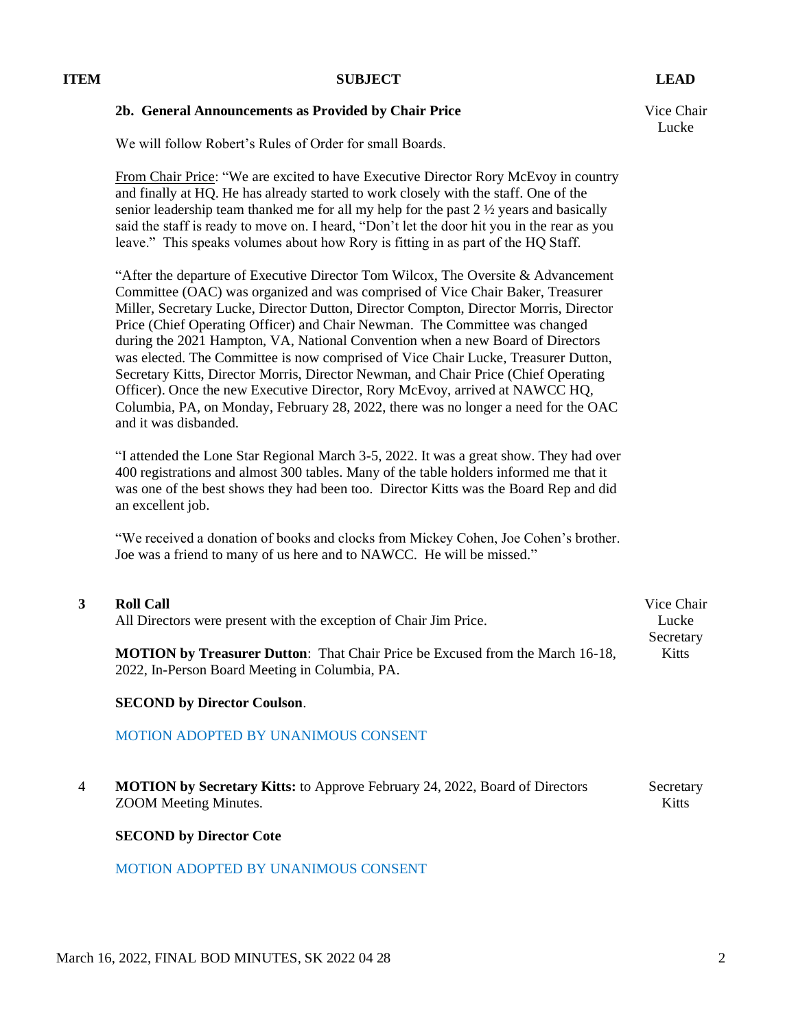## **2b. General Announcements as Provided by Chair Price** Vice Chair

We will follow Robert's Rules of Order for small Boards.

From Chair Price: "We are excited to have Executive Director Rory McEvoy in country and finally at HQ. He has already started to work closely with the staff. One of the senior leadership team thanked me for all my help for the past  $2\frac{1}{2}$  years and basically said the staff is ready to move on. I heard, "Don't let the door hit you in the rear as you leave." This speaks volumes about how Rory is fitting in as part of the HQ Staff.

"After the departure of Executive Director Tom Wilcox, The Oversite & Advancement Committee (OAC) was organized and was comprised of Vice Chair Baker, Treasurer Miller, Secretary Lucke, Director Dutton, Director Compton, Director Morris, Director Price (Chief Operating Officer) and Chair Newman. The Committee was changed during the 2021 Hampton, VA, National Convention when a new Board of Directors was elected. The Committee is now comprised of Vice Chair Lucke, Treasurer Dutton, Secretary Kitts, Director Morris, Director Newman, and Chair Price (Chief Operating Officer). Once the new Executive Director, Rory McEvoy, arrived at NAWCC HQ, Columbia, PA, on Monday, February 28, 2022, there was no longer a need for the OAC and it was disbanded.

"I attended the Lone Star Regional March 3-5, 2022. It was a great show. They had over 400 registrations and almost 300 tables. Many of the table holders informed me that it was one of the best shows they had been too. Director Kitts was the Board Rep and did an excellent job.

"We received a donation of books and clocks from Mickey Cohen, Joe Cohen's brother. Joe was a friend to many of us here and to NAWCC. He will be missed."

| <b>Roll Call</b>                                                                     | Vice Chair   |
|--------------------------------------------------------------------------------------|--------------|
| All Directors were present with the exception of Chair Jim Price.                    | Lucke        |
|                                                                                      | Secretary    |
| <b>MOTION by Treasurer Dutton:</b> That Chair Price be Excused from the March 16-18, | <b>Kitts</b> |
| 2022, In-Person Board Meeting in Columbia, PA.                                       |              |

## **SECOND by Director Coulson**.

## MOTION ADOPTED BY UNANIMOUS CONSENT

4 **MOTION by Secretary Kitts:** to Approve February 24, 2022, Board of Directors ZOOM Meeting Minutes. Secretary Kitts

## **SECOND by Director Cote**

## MOTION ADOPTED BY UNANIMOUS CONSENT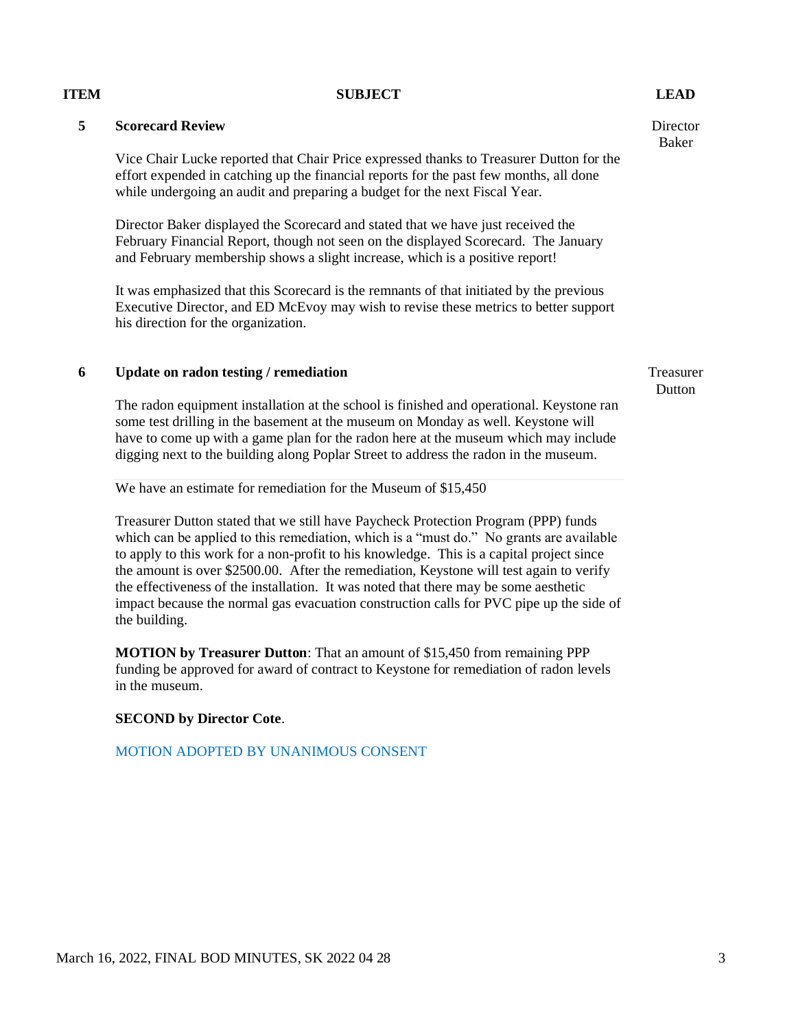## **5 Scorecard Review**

Vice Chair Lucke reported that Chair Price expressed thanks to Treasurer Dutton for the effort expended in catching up the financial reports for the past few months, all done while undergoing an audit and preparing a budget for the next Fiscal Year.

Director Baker displayed the Scorecard and stated that we have just received the February Financial Report, though not seen on the displayed Scorecard. The January and February membership shows a slight increase, which is a positive report!

It was emphasized that this Scorecard is the remnants of that initiated by the previous Executive Director, and ED McEvoy may wish to revise these metrics to better support his direction for the organization.

## **6 Update on radon testing / remediation** Treasurer

The radon equipment installation at the school is finished and operational. Keystone ran some test drilling in the basement at the museum on Monday as well. Keystone will have to come up with a game plan for the radon here at the museum which may include digging next to the building along Poplar Street to address the radon in the museum.

We have an estimate for remediation for the Museum of \$15,450

Treasurer Dutton stated that we still have Paycheck Protection Program (PPP) funds which can be applied to this remediation, which is a "must do." No grants are available to apply to this work for a non-profit to his knowledge. This is a capital project since the amount is over \$2500.00. After the remediation, Keystone will test again to verify the effectiveness of the installation. It was noted that there may be some aesthetic impact because the normal gas evacuation construction calls for PVC pipe up the side of the building.

**MOTION by Treasurer Dutton**: That an amount of \$15,450 from remaining PPP funding be approved for award of contract to Keystone for remediation of radon levels in the museum.

## **SECOND by Director Cote**.

MOTION ADOPTED BY UNANIMOUS CONSENT

**Director** Baker

**Dutton**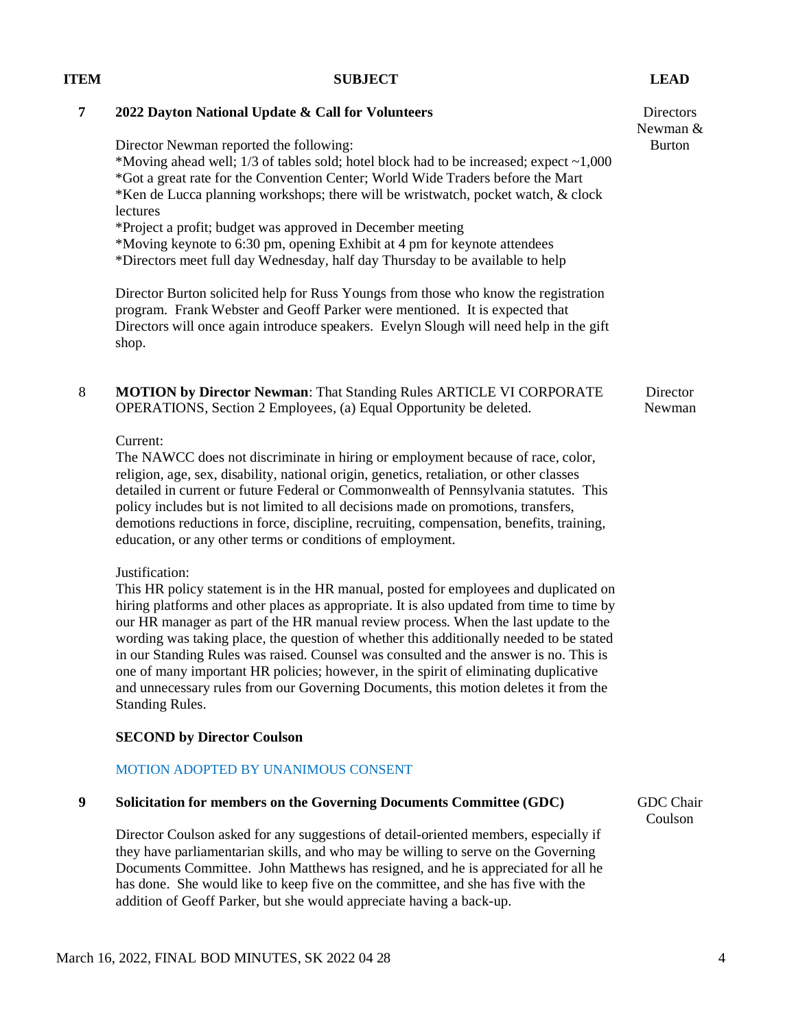|   | Directors will once again ma ocace speakers. Divisi broagh will need help in the glit<br>shop.                                                           |
|---|----------------------------------------------------------------------------------------------------------------------------------------------------------|
| 8 | <b>MOTION by Director Newman: That Standing Rules ARTICLE VI CORPORATE</b><br><b>OPERATIONS</b> , Section 2 Employees, (a) Equal Opportunity be deleted. |
|   | Current:                                                                                                                                                 |
|   | The NAWCC does not discriminate in hiring or employment because of race, color,                                                                          |
|   | religion, age, sex, disability, national origin, genetics, retaliation, or other classes                                                                 |
|   | detailed in current or future Federal or Commonwealth of Pennsylvania statutes. This                                                                     |
|   | policy includes but is not limited to all decisions made on promotions, transfers,                                                                       |

demotions reductions in force, discipline, recruiting, compensation, benefits, training, education, or any other terms or conditions of employment.

Justification:

This HR policy statement is in the HR manual, posted for employees and duplicated on hiring platforms and other places as appropriate. It is also updated from time to time by our HR manager as part of the HR manual review process. When the last update to the wording was taking place, the question of whether this additionally needed to be stated in our Standing Rules was raised. Counsel was consulted and the answer is no. This is one of many important HR policies; however, in the spirit of eliminating duplicative and unnecessary rules from our Governing Documents, this motion deletes it from the Standing Rules.

## **SECOND by Director Coulson**

## MOTION ADOPTED BY UNANIMOUS CONSENT

## **9 Solicitation for members on the Governing Documents Committee (GDC)**

Director Coulson asked for any suggestions of detail-oriented members, especially if they have parliamentarian skills, and who may be willing to serve on the Governing Documents Committee. John Matthews has resigned, and he is appreciated for all he has done. She would like to keep five on the committee, and she has five with the addition of Geoff Parker, but she would appreciate having a back-up.

GDC Chair Coulson

## **7 2022 Dayton National Update & Call for Volunteers**

Director Newman reported the following:

\*Moving ahead well;  $1/3$  of tables sold; hotel block had to be increased; expect  $\sim 1,000$ \*Got a great rate for the Convention Center; World Wide Traders before the Mart \*Ken de Lucca planning workshops; there will be wristwatch, pocket watch, & clock lectures

\*Project a profit; budget was approved in December meeting

\*Moving keynote to 6:30 pm, opening Exhibit at 4 pm for keynote attendees

\*Directors meet full day Wednesday, half day Thursday to be available to help

Director Burton solicited help for Russ Youngs from those who know the registration program. Frank Webster and Geoff Parker were mentioned. It is expected that Directors will once again introduce speakers. Evelyn Slough will need help in the gift

# **ITEM SUBJECT LEAD**

**Directors** Newman & Burton

> **Director** Newman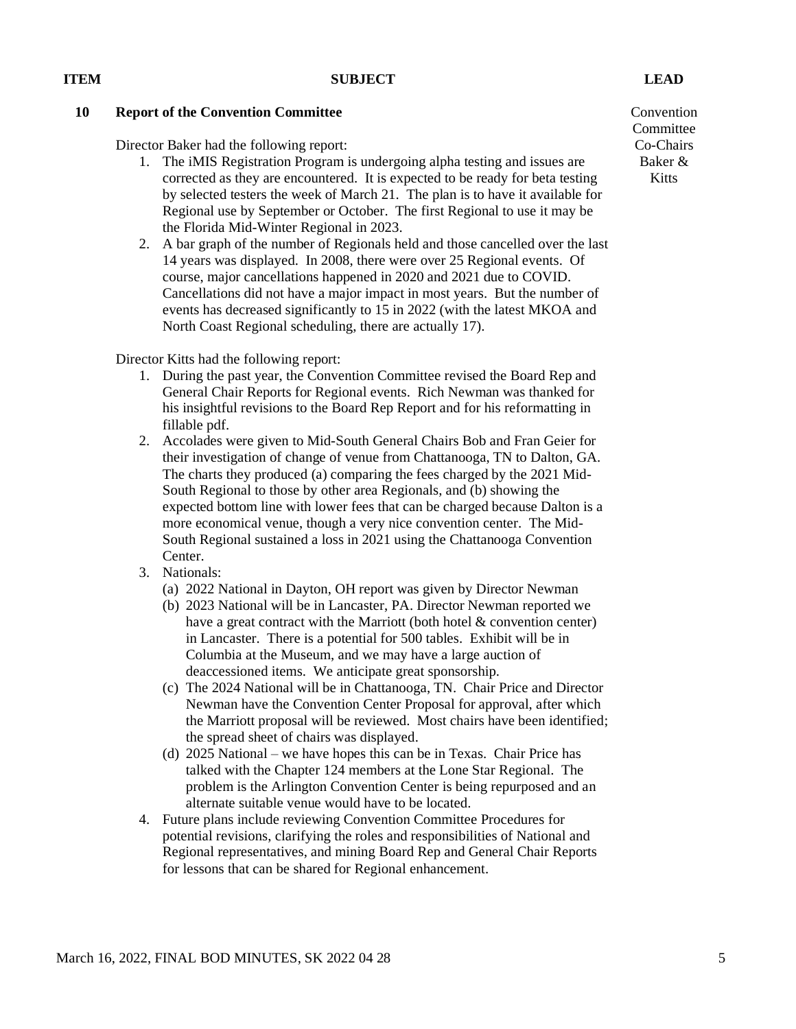## **10 Report of the Convention Committee**

Director Baker had the following report:

- 1. The iMIS Registration Program is undergoing alpha testing and issues are corrected as they are encountered. It is expected to be ready for beta testing by selected testers the week of March 21. The plan is to have it available for Regional use by September or October. The first Regional to use it may be the Florida Mid-Winter Regional in 2023.
- 2. A bar graph of the number of Regionals held and those cancelled over the last 14 years was displayed. In 2008, there were over 25 Regional events. Of course, major cancellations happened in 2020 and 2021 due to COVID. Cancellations did not have a major impact in most years. But the number of events has decreased significantly to 15 in 2022 (with the latest MKOA and North Coast Regional scheduling, there are actually 17).

Director Kitts had the following report:

- 1. During the past year, the Convention Committee revised the Board Rep and General Chair Reports for Regional events. Rich Newman was thanked for his insightful revisions to the Board Rep Report and for his reformatting in fillable pdf.
- 2. Accolades were given to Mid-South General Chairs Bob and Fran Geier for their investigation of change of venue from Chattanooga, TN to Dalton, GA. The charts they produced (a) comparing the fees charged by the 2021 Mid-South Regional to those by other area Regionals, and (b) showing the expected bottom line with lower fees that can be charged because Dalton is a more economical venue, though a very nice convention center. The Mid-South Regional sustained a loss in 2021 using the Chattanooga Convention Center.
- 3. Nationals:
	- (a) 2022 National in Dayton, OH report was given by Director Newman
	- (b) 2023 National will be in Lancaster, PA. Director Newman reported we have a great contract with the Marriott (both hotel & convention center) in Lancaster. There is a potential for 500 tables. Exhibit will be in Columbia at the Museum, and we may have a large auction of deaccessioned items. We anticipate great sponsorship.
	- (c) The 2024 National will be in Chattanooga, TN. Chair Price and Director Newman have the Convention Center Proposal for approval, after which the Marriott proposal will be reviewed. Most chairs have been identified; the spread sheet of chairs was displayed.
	- (d) 2025 National we have hopes this can be in Texas. Chair Price has talked with the Chapter 124 members at the Lone Star Regional. The problem is the Arlington Convention Center is being repurposed and an alternate suitable venue would have to be located.
- 4. Future plans include reviewing Convention Committee Procedures for potential revisions, clarifying the roles and responsibilities of National and Regional representatives, and mining Board Rep and General Chair Reports for lessons that can be shared for Regional enhancement.

Convention **Committee** Co-Chairs Baker & Kitts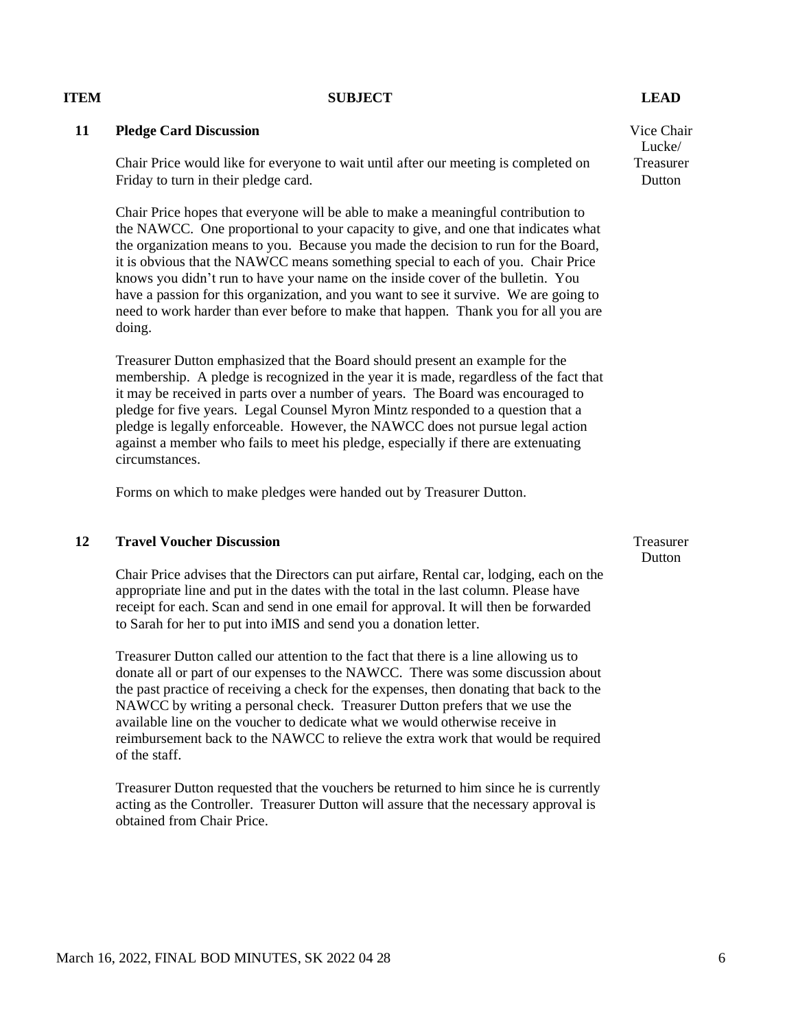### **11 Pledge Card Discussion**

Chair Price would like for everyone to wait until after our meeting is completed on Friday to turn in their pledge card.

Chair Price hopes that everyone will be able to make a meaningful contribution to the NAWCC. One proportional to your capacity to give, and one that indicates what the organization means to you. Because you made the decision to run for the Board, it is obvious that the NAWCC means something special to each of you. Chair Price knows you didn't run to have your name on the inside cover of the bulletin. You have a passion for this organization, and you want to see it survive. We are going to need to work harder than ever before to make that happen. Thank you for all you are doing.

Treasurer Dutton emphasized that the Board should present an example for the membership. A pledge is recognized in the year it is made, regardless of the fact that it may be received in parts over a number of years. The Board was encouraged to pledge for five years. Legal Counsel Myron Mintz responded to a question that a pledge is legally enforceable. However, the NAWCC does not pursue legal action against a member who fails to meet his pledge, especially if there are extenuating circumstances.

Forms on which to make pledges were handed out by Treasurer Dutton.

## **12 Travel Voucher Discussion**

Chair Price advises that the Directors can put airfare, Rental car, lodging, each on the appropriate line and put in the dates with the total in the last column. Please have receipt for each. Scan and send in one email for approval. It will then be forwarded to Sarah for her to put into iMIS and send you a donation letter.

Treasurer Dutton called our attention to the fact that there is a line allowing us to donate all or part of our expenses to the NAWCC. There was some discussion about the past practice of receiving a check for the expenses, then donating that back to the NAWCC by writing a personal check. Treasurer Dutton prefers that we use the available line on the voucher to dedicate what we would otherwise receive in reimbursement back to the NAWCC to relieve the extra work that would be required of the staff.

Treasurer Dutton requested that the vouchers be returned to him since he is currently acting as the Controller. Treasurer Dutton will assure that the necessary approval is obtained from Chair Price.

Treasurer **Dutton** 

Vice Chair Lucke/ Treasurer **Dutton**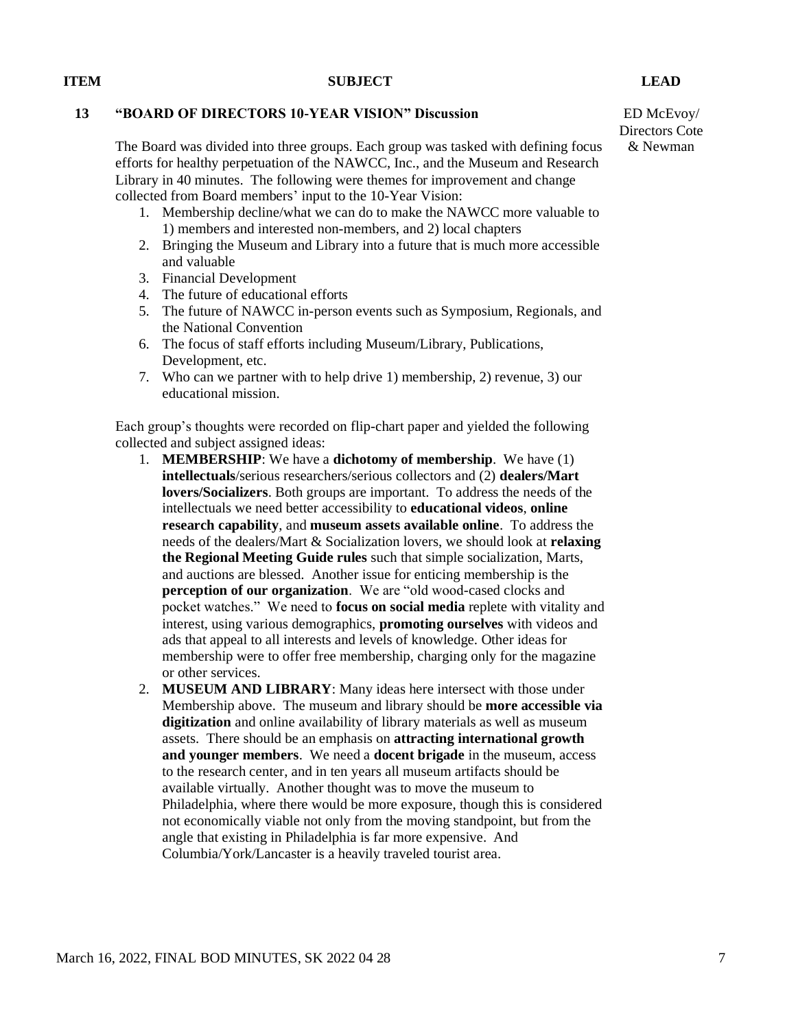### **13 "BOARD OF DIRECTORS 10-YEAR VISION" Discussion**

The Board was divided into three groups. Each group was tasked with defining focus efforts for healthy perpetuation of the NAWCC, Inc., and the Museum and Research Library in 40 minutes. The following were themes for improvement and change collected from Board members' input to the 10-Year Vision:

- 1. Membership decline/what we can do to make the NAWCC more valuable to 1) members and interested non-members, and 2) local chapters
- 2. Bringing the Museum and Library into a future that is much more accessible and valuable
- 3. Financial Development
- 4. The future of educational efforts
- 5. The future of NAWCC in-person events such as Symposium, Regionals, and the National Convention
- 6. The focus of staff efforts including Museum/Library, Publications, Development, etc.
- 7. Who can we partner with to help drive 1) membership, 2) revenue, 3) our educational mission.

Each group's thoughts were recorded on flip-chart paper and yielded the following collected and subject assigned ideas:

- 1. **MEMBERSHIP**: We have a **dichotomy of membership**. We have (1) **intellectuals**/serious researchers/serious collectors and (2) **dealers/Mart lovers/Socializers**. Both groups are important. To address the needs of the intellectuals we need better accessibility to **educational videos**, **online research capability**, and **museum assets available online**. To address the needs of the dealers/Mart & Socialization lovers, we should look at **relaxing the Regional Meeting Guide rules** such that simple socialization, Marts, and auctions are blessed. Another issue for enticing membership is the **perception of our organization**. We are "old wood-cased clocks and pocket watches." We need to **focus on social media** replete with vitality and interest, using various demographics, **promoting ourselves** with videos and ads that appeal to all interests and levels of knowledge. Other ideas for membership were to offer free membership, charging only for the magazine or other services.
- 2. **MUSEUM AND LIBRARY**: Many ideas here intersect with those under Membership above. The museum and library should be **more accessible via digitization** and online availability of library materials as well as museum assets. There should be an emphasis on **attracting international growth and younger members**. We need a **docent brigade** in the museum, access to the research center, and in ten years all museum artifacts should be available virtually. Another thought was to move the museum to Philadelphia, where there would be more exposure, though this is considered not economically viable not only from the moving standpoint, but from the angle that existing in Philadelphia is far more expensive. And Columbia/York/Lancaster is a heavily traveled tourist area.

ED McEvoy/ Directors Cote & Newman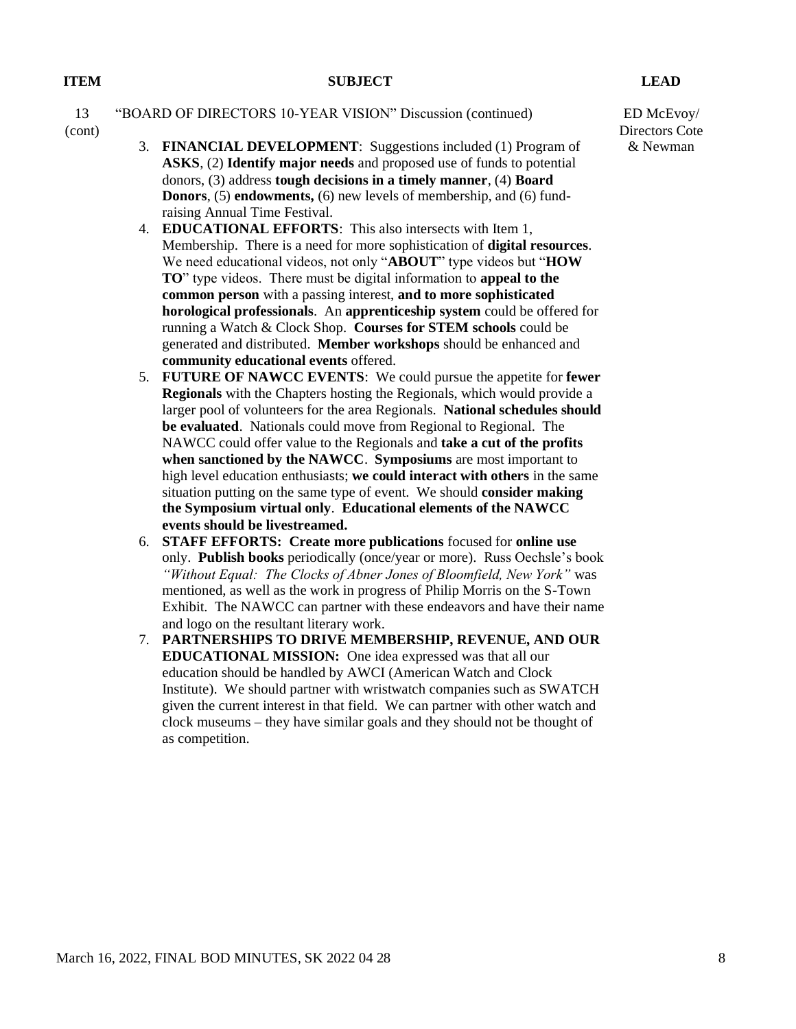#### 13 "BOARD OF DIRECTORS 10-YEAR VISION" Discussion (continued)

- (cont)
- 3. **FINANCIAL DEVELOPMENT**: Suggestions included (1) Program of **ASKS**, (2) **Identify major needs** and proposed use of funds to potential donors, (3) address **tough decisions in a timely manner**, (4) **Board Donors**, (5) **endowments,** (6) new levels of membership, and (6) fundraising Annual Time Festival.
- 4. **EDUCATIONAL EFFORTS**: This also intersects with Item 1, Membership. There is a need for more sophistication of **digital resources**. We need educational videos, not only "**ABOUT**" type videos but "**HOW TO**" type videos. There must be digital information to **appeal to the common person** with a passing interest, **and to more sophisticated horological professionals**. An **apprenticeship system** could be offered for running a Watch & Clock Shop. **Courses for STEM schools** could be generated and distributed. **Member workshops** should be enhanced and **community educational events** offered.
- 5. **FUTURE OF NAWCC EVENTS**: We could pursue the appetite for **fewer Regionals** with the Chapters hosting the Regionals, which would provide a larger pool of volunteers for the area Regionals. **National schedules should be evaluated**. Nationals could move from Regional to Regional. The NAWCC could offer value to the Regionals and **take a cut of the profits when sanctioned by the NAWCC**. **Symposiums** are most important to high level education enthusiasts; **we could interact with others** in the same situation putting on the same type of event. We should **consider making the Symposium virtual only**. **Educational elements of the NAWCC events should be livestreamed.**
- 6. **STAFF EFFORTS: Create more publications** focused for **online use** only. **Publish books** periodically (once/year or more). Russ Oechsle's book *"Without Equal: The Clocks of Abner Jones of Bloomfield, New York"* was mentioned, as well as the work in progress of Philip Morris on the S-Town Exhibit. The NAWCC can partner with these endeavors and have their name and logo on the resultant literary work.
- 7. **PARTNERSHIPS TO DRIVE MEMBERSHIP, REVENUE, AND OUR EDUCATIONAL MISSION:** One idea expressed was that all our education should be handled by AWCI (American Watch and Clock Institute). We should partner with wristwatch companies such as SWATCH given the current interest in that field. We can partner with other watch and clock museums – they have similar goals and they should not be thought of as competition.

ED McEvoy/ Directors Cote & Newman